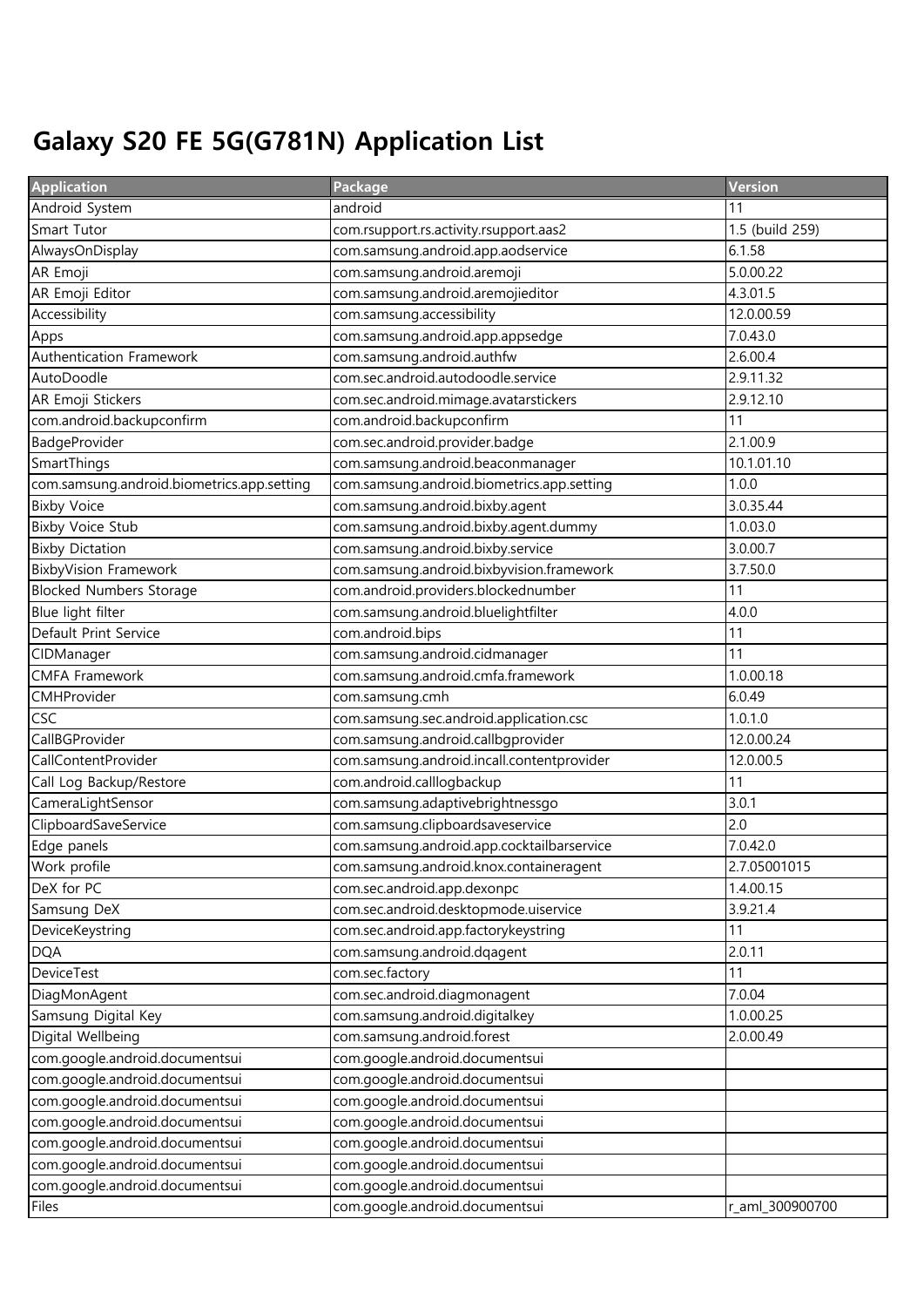## Galaxy S20 FE 5G(G781N) Application List

| <b>Application</b>                         | Package                                    | Version         |
|--------------------------------------------|--------------------------------------------|-----------------|
| Android System                             | android                                    | 11              |
| Smart Tutor                                | com.rsupport.rs.activity.rsupport.aas2     | 1.5 (build 259) |
| AlwaysOnDisplay                            | com.samsung.android.app.aodservice         | 6.1.58          |
| AR Emoji                                   | com.samsung.android.aremoji                | 5.0.00.22       |
| AR Emoji Editor                            | com.samsung.android.aremojieditor          | 4.3.01.5        |
| Accessibility                              | com.samsung.accessibility                  | 12.0.00.59      |
| Apps                                       | com.samsung.android.app.appsedge           | 7.0.43.0        |
| Authentication Framework                   | com.samsung.android.authfw                 | 2.6.00.4        |
| AutoDoodle                                 | com.sec.android.autodoodle.service         | 2.9.11.32       |
| AR Emoji Stickers                          | com.sec.android.mimage.avatarstickers      | 2.9.12.10       |
| com.android.backupconfirm                  | com.android.backupconfirm                  | 11              |
| BadgeProvider                              | com.sec.android.provider.badge             | 2.1.00.9        |
| SmartThings                                | com.samsung.android.beaconmanager          | 10.1.01.10      |
| com.samsung.android.biometrics.app.setting | com.samsung.android.biometrics.app.setting | 1.0.0           |
| <b>Bixby Voice</b>                         | com.samsung.android.bixby.agent            | 3.0.35.44       |
| <b>Bixby Voice Stub</b>                    | com.samsung.android.bixby.agent.dummy      | 1.0.03.0        |
| <b>Bixby Dictation</b>                     | com.samsung.android.bixby.service          | 3.0.00.7        |
| <b>BixbyVision Framework</b>               | com.samsung.android.bixbyvision.framework  | 3.7.50.0        |
| <b>Blocked Numbers Storage</b>             | com.android.providers.blockednumber        | 11              |
| Blue light filter                          | com.samsung.android.bluelightfilter        | 4.0.0           |
| Default Print Service                      | com.android.bips                           | 11              |
| CIDManager                                 | com.samsung.android.cidmanager             | 11              |
| <b>CMFA Framework</b>                      | com.samsung.android.cmfa.framework         | 1.0.00.18       |
| CMHProvider                                | com.samsung.cmh                            | 6.0.49          |
| <b>CSC</b>                                 | com.samsung.sec.android.application.csc    | 1.0.1.0         |
| CallBGProvider                             | com.samsung.android.callbgprovider         | 12.0.00.24      |
| CallContentProvider                        | com.samsung.android.incall.contentprovider | 12.0.00.5       |
| Call Log Backup/Restore                    | com.android.calllogbackup                  | 11              |
| CameraLightSensor                          | com.samsung.adaptivebrightnessgo           | 3.0.1           |
| ClipboardSaveService                       | com.samsung.clipboardsaveservice           | 2.0             |
| Edge panels                                | com.samsung.android.app.cocktailbarservice | 7.0.42.0        |
| Work profile                               | com.samsung.android.knox.containeragent    | 2.7.05001015    |
| DeX for PC                                 | com.sec.android.app.dexonpc                | 1.4.00.15       |
| Samsung DeX                                | com.sec.android.desktopmode.uiservice      | 3.9.21.4        |
| DeviceKeystring                            | com.sec.android.app.factorykeystring       | 11              |
| <b>DQA</b>                                 | com.samsung.android.dqagent                | 2.0.11          |
| DeviceTest                                 | com.sec.factory                            | 11              |
| DiagMonAgent                               | com.sec.android.diagmonagent               | 7.0.04          |
| Samsung Digital Key                        | com.samsung.android.digitalkey             | 1.0.00.25       |
| Digital Wellbeing                          | com.samsung.android.forest                 | 2.0.00.49       |
| com.google.android.documentsui             | com.google.android.documentsui             |                 |
| com.google.android.documentsui             | com.google.android.documentsui             |                 |
| com.google.android.documentsui             | com.google.android.documentsui             |                 |
| com.google.android.documentsui             | com.google.android.documentsui             |                 |
| com.google.android.documentsui             | com.google.android.documentsui             |                 |
| com.google.android.documentsui             | com.google.android.documentsui             |                 |
| com.google.android.documentsui             | com.google.android.documentsui             |                 |
| Files                                      | com.google.android.documentsui             | r_aml_300900700 |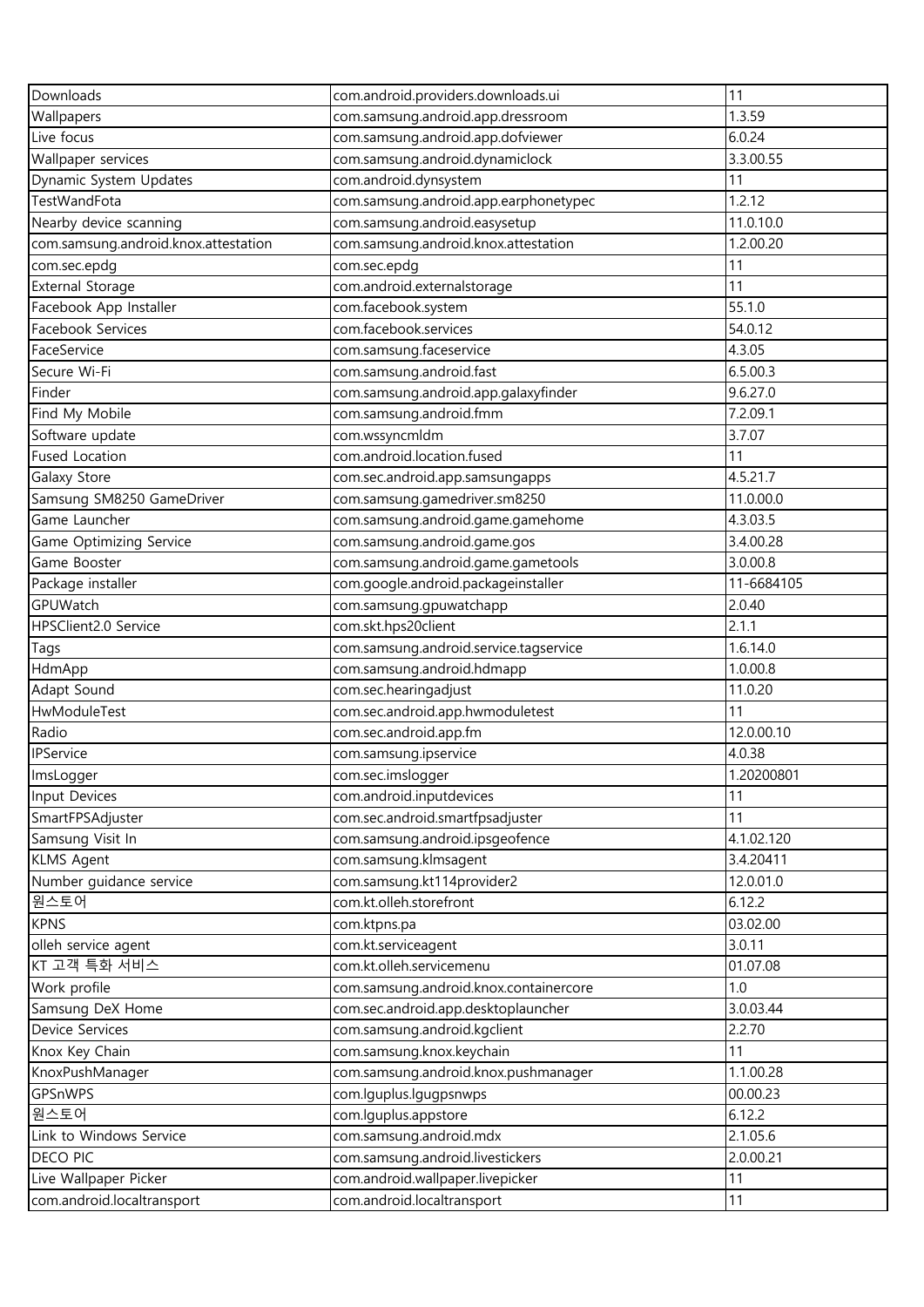| Downloads                            | com.android.providers.downloads.ui             | 11         |
|--------------------------------------|------------------------------------------------|------------|
| Wallpapers                           | com.samsung.android.app.dressroom              | 1.3.59     |
| Live focus                           | com.samsung.android.app.dofviewer              | 6.0.24     |
| Wallpaper services                   | com.samsung.android.dynamiclock                | 3.3.00.55  |
| Dynamic System Updates               | com.android.dynsystem                          | 11         |
| TestWandFota                         | com.samsung.android.app.earphonetypec          | 1.2.12     |
| Nearby device scanning               | com.samsung.android.easysetup                  | 11.0.10.0  |
| com.samsung.android.knox.attestation | com.samsung.android.knox.attestation           | 1.2.00.20  |
| com.sec.epdg                         | com.sec.epdg                                   | 11         |
| <b>External Storage</b>              | com.android.externalstorage                    | 11         |
| Facebook App Installer               | com.facebook.system                            | 55.1.0     |
| Facebook Services                    | com.facebook.services                          | 54.0.12    |
| FaceService                          | com.samsung.faceservice                        | 4.3.05     |
| Secure Wi-Fi                         | com.samsung.android.fast                       | 6.5.00.3   |
| Finder                               | com.samsung.android.app.galaxyfinder           | 9.6.27.0   |
| Find My Mobile                       | com.samsung.android.fmm                        | 7.2.09.1   |
| Software update                      | com.wssyncmldm                                 | 3.7.07     |
| <b>Fused Location</b>                | com.android.location.fused                     | 11         |
| Galaxy Store                         | com.sec.android.app.samsungapps                | 4.5.21.7   |
| Samsung SM8250 GameDriver            | com.samsung.gamedriver.sm8250                  | 11.0.00.0  |
| Game Launcher                        | com.samsung.android.game.gamehome              | 4.3.03.5   |
| Game Optimizing Service              | com.samsung.android.game.gos                   | 3.4.00.28  |
| Game Booster                         | com.samsung.android.game.gametools             | 3.0.00.8   |
| Package installer                    | com.google.android.packageinstaller            | 11-6684105 |
| GPUWatch                             |                                                | 2.0.40     |
| HPSClient2.0 Service                 | com.samsung.gpuwatchapp<br>com.skt.hps20client | 2.1.1      |
|                                      | com.samsung.android.service.tagservice         | 1.6.14.0   |
| Tags                                 | com.samsung.android.hdmapp                     | 1.0.00.8   |
| HdmApp<br>Adapt Sound                | com.sec.hearingadjust                          | 11.0.20    |
| HwModuleTest                         | com.sec.android.app.hwmoduletest               | 11         |
| Radio                                | com.sec.android.app.fm                         | 12.0.00.10 |
| <b>IPService</b>                     | com.samsung.ipservice                          | 4.0.38     |
| ImsLogger                            | com.sec.imslogger                              | 1.20200801 |
| Input Devices                        | com.android.inputdevices                       | 11         |
| SmartFPSAdjuster                     | com.sec.android.smartfpsadjuster               | 11         |
| Samsung Visit In                     | com.samsung.android.ipsgeofence                | 4.1.02.120 |
| <b>KLMS Agent</b>                    | com.samsung.klmsagent                          | 3.4.20411  |
| Number guidance service              | com.samsung.kt114provider2                     | 12.0.01.0  |
| 원스토어                                 | com.kt.olleh.storefront                        | 6.12.2     |
| <b>KPNS</b>                          | com.ktpns.pa                                   | 03.02.00   |
| olleh service agent                  | com.kt.serviceagent                            | 3.0.11     |
| KT 고객 특화 서비스                         | com.kt.olleh.servicemenu                       | 01.07.08   |
|                                      |                                                |            |
| Work profile                         | com.samsung.android.knox.containercore         | $1.0\,$    |
| Samsung DeX Home                     | com.sec.android.app.desktoplauncher            | 3.0.03.44  |
| Device Services                      | com.samsung.android.kgclient                   | 2.2.70     |
| Knox Key Chain                       | com.samsung.knox.keychain                      | 11         |
| KnoxPushManager                      | com.samsung.android.knox.pushmanager           | 1.1.00.28  |
| GPSnWPS                              | com.lguplus.lgugpsnwps                         | 00.00.23   |
| 원스토어                                 | com.lguplus.appstore                           | 6.12.2     |
| Link to Windows Service              | com.samsung.android.mdx                        | 2.1.05.6   |
| <b>DECO PIC</b>                      | com.samsung.android.livestickers               | 2.0.00.21  |
| Live Wallpaper Picker                | com.android.wallpaper.livepicker               | 11         |
| com.android.localtransport           | com.android.localtransport                     | 11         |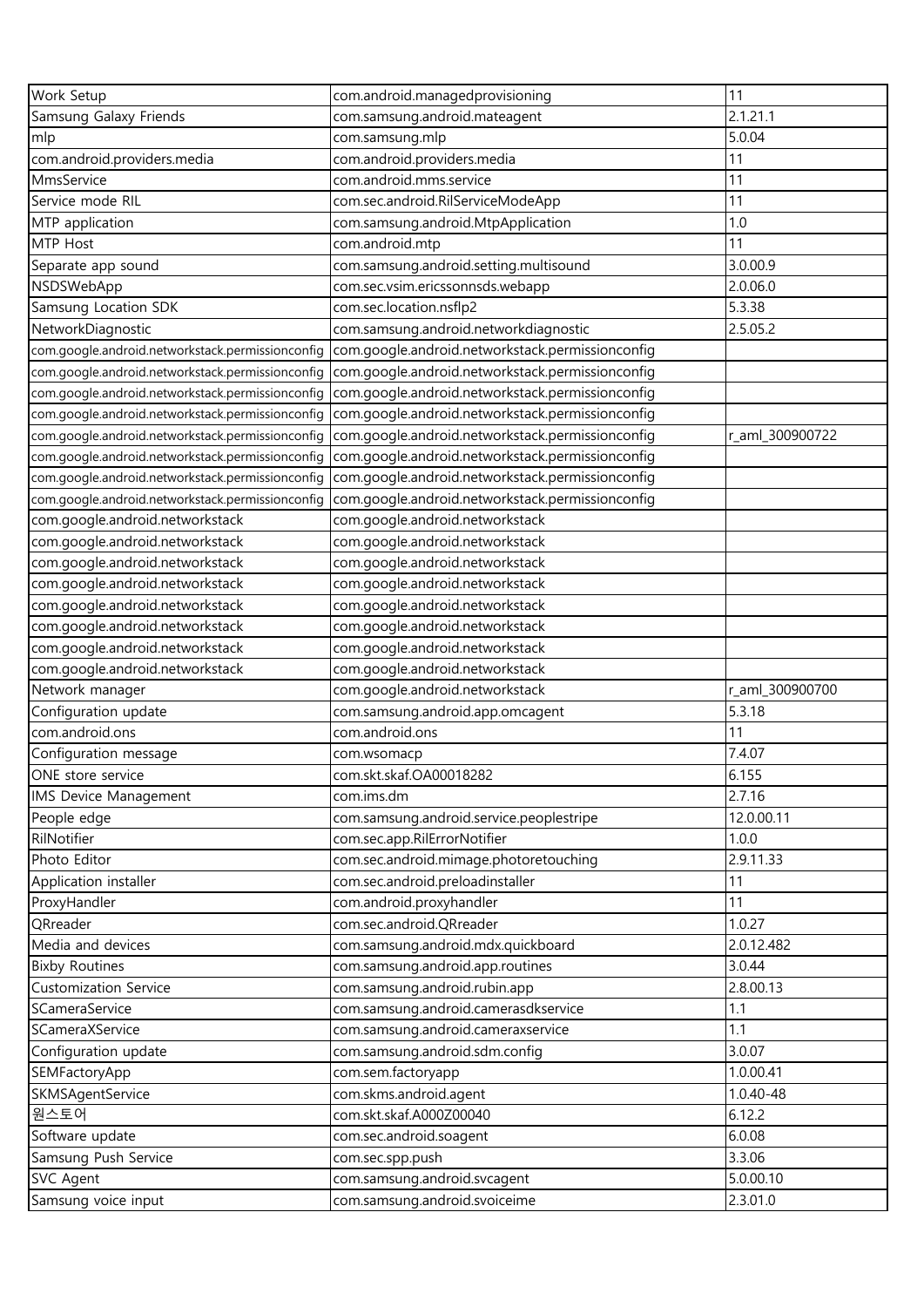| Work Setup                                       | com.android.managedprovisioning                  | 11              |
|--------------------------------------------------|--------------------------------------------------|-----------------|
| Samsung Galaxy Friends                           | com.samsung.android.mateagent                    | 2.1.21.1        |
| mlp                                              | com.samsung.mlp                                  | 5.0.04          |
| com.android.providers.media                      | com.android.providers.media                      | 11              |
| MmsService                                       | com.android.mms.service                          | 11              |
| Service mode RIL                                 | com.sec.android.RilServiceModeApp                | 11              |
| MTP application                                  | com.samsung.android.MtpApplication               | 1.0             |
| MTP Host                                         | com.android.mtp                                  | 11              |
| Separate app sound                               | com.samsung.android.setting.multisound           | 3.0.00.9        |
| NSDSWebApp                                       | com.sec.vsim.ericssonnsds.webapp                 | 2.0.06.0        |
| Samsung Location SDK                             | com.sec.location.nsflp2                          | 5.3.38          |
| NetworkDiagnostic                                | com.samsung.android.networkdiagnostic            | 2.5.05.2        |
| com.google.android.networkstack.permissionconfig | com.google.android.networkstack.permissionconfig |                 |
| com.google.android.networkstack.permissionconfig | com.google.android.networkstack.permissionconfig |                 |
| com.google.android.networkstack.permissionconfig | com.google.android.networkstack.permissionconfig |                 |
| com.google.android.networkstack.permissionconfig | com.google.android.networkstack.permissionconfig |                 |
| com.google.android.networkstack.permissionconfig | com.google.android.networkstack.permissionconfig | r_aml_300900722 |
| com.google.android.networkstack.permissionconfig | com.google.android.networkstack.permissionconfig |                 |
| com.google.android.networkstack.permissionconfig | com.google.android.networkstack.permissionconfig |                 |
| com.google.android.networkstack.permissionconfig | com.google.android.networkstack.permissionconfig |                 |
| com.google.android.networkstack                  | com.google.android.networkstack                  |                 |
| com.google.android.networkstack                  | com.google.android.networkstack                  |                 |
| com.google.android.networkstack                  | com.google.android.networkstack                  |                 |
| com.google.android.networkstack                  | com.google.android.networkstack                  |                 |
| com.google.android.networkstack                  | com.google.android.networkstack                  |                 |
| com.google.android.networkstack                  | com.google.android.networkstack                  |                 |
| com.google.android.networkstack                  | com.google.android.networkstack                  |                 |
| com.google.android.networkstack                  | com.google.android.networkstack                  |                 |
| Network manager                                  | com.google.android.networkstack                  | r_aml_300900700 |
| Configuration update                             | com.samsung.android.app.omcagent                 | 5.3.18          |
| com.android.ons                                  | com.android.ons                                  | 11              |
| Configuration message                            | com.wsomacp                                      | 7.4.07          |
| ONE store service                                | com.skt.skaf.OA00018282                          | 6.155           |
| <b>IMS Device Management</b>                     | com.ims.dm                                       | 2.7.16          |
| People edge                                      | com.samsung.android.service.peoplestripe         | 12.0.00.11      |
| RilNotifier                                      | com.sec.app.RilErrorNotifier                     | 1.0.0           |
| Photo Editor                                     | com.sec.android.mimage.photoretouching           | 2.9.11.33       |
| Application installer                            | com.sec.android.preloadinstaller                 | 11              |
| ProxyHandler                                     | com.android.proxyhandler                         | 11              |
| QRreader                                         | com.sec.android.QRreader                         | 1.0.27          |
| Media and devices                                | com.samsung.android.mdx.quickboard               | 2.0.12.482      |
| <b>Bixby Routines</b>                            | com.samsung.android.app.routines                 | 3.0.44          |
| Customization Service                            | com.samsung.android.rubin.app                    | 2.8.00.13       |
| SCameraService                                   | com.samsung.android.camerasdkservice             | 1.1             |
| SCameraXService                                  | com.samsung.android.cameraxservice               | 1.1             |
| Configuration update                             | com.samsung.android.sdm.config                   | 3.0.07          |
| SEMFactoryApp                                    | com.sem.factoryapp                               | 1.0.00.41       |
| SKMSAgentService                                 | com.skms.android.agent                           | 1.0.40-48       |
| 원스토어                                             | com.skt.skaf.A000Z00040                          | 6.12.2          |
| Software update                                  | com.sec.android.soagent                          | 6.0.08          |
| Samsung Push Service                             | com.sec.spp.push                                 | 3.3.06          |
| <b>SVC Agent</b>                                 | com.samsung.android.svcagent                     | 5.0.00.10       |
| Samsung voice input                              | com.samsung.android.svoiceime                    | 2.3.01.0        |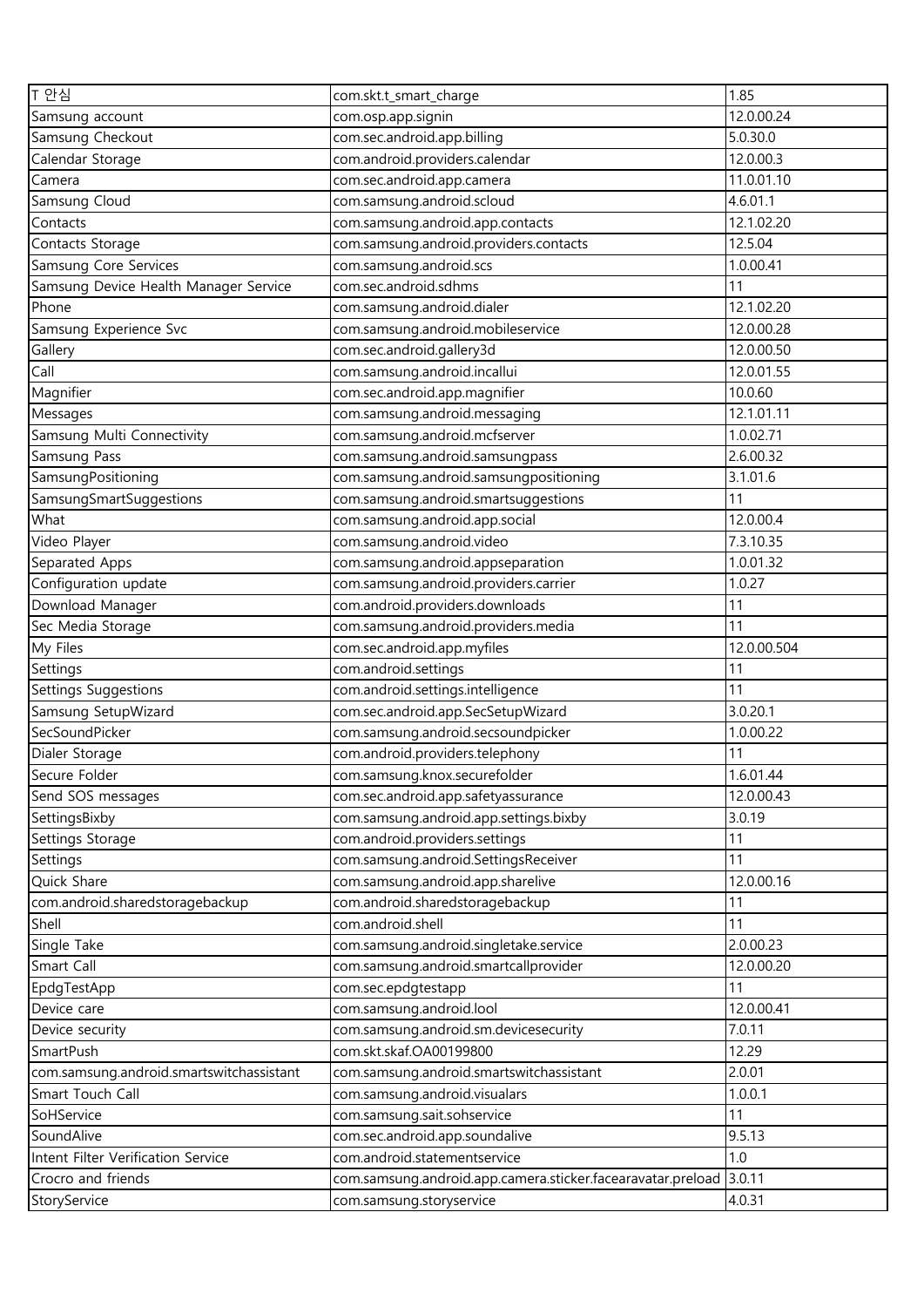| T 안심                                     | com.skt.t_smart_charge                                                        | 1.85            |
|------------------------------------------|-------------------------------------------------------------------------------|-----------------|
| Samsung account                          | com.osp.app.signin                                                            | 12.0.00.24      |
| Samsung Checkout                         | com.sec.android.app.billing                                                   | 5.0.30.0        |
| Calendar Storage                         | com.android.providers.calendar                                                | 12.0.00.3       |
| Camera                                   | com.sec.android.app.camera                                                    | 11.0.01.10      |
| Samsung Cloud                            | com.samsung.android.scloud                                                    | 4.6.01.1        |
| Contacts                                 | com.samsung.android.app.contacts                                              | 12.1.02.20      |
| Contacts Storage                         | com.samsung.android.providers.contacts                                        | 12.5.04         |
| Samsung Core Services                    | com.samsung.android.scs                                                       | 1.0.00.41       |
| Samsung Device Health Manager Service    | com.sec.android.sdhms                                                         | 11              |
| Phone                                    | com.samsung.android.dialer                                                    | 12.1.02.20      |
| Samsung Experience Svc                   | com.samsung.android.mobileservice                                             | 12.0.00.28      |
| Gallery                                  | com.sec.android.gallery3d                                                     | 12.0.00.50      |
| Call                                     | com.samsung.android.incallui                                                  | 12.0.01.55      |
| Magnifier                                | com.sec.android.app.magnifier                                                 | 10.0.60         |
| Messages                                 | com.samsung.android.messaging                                                 | 12.1.01.11      |
| Samsung Multi Connectivity               | com.samsung.android.mcfserver                                                 | 1.0.02.71       |
| Samsung Pass                             | com.samsung.android.samsungpass                                               | 2.6.00.32       |
| SamsungPositioning                       | com.samsung.android.samsungpositioning                                        | 3.1.01.6        |
| SamsungSmartSuggestions                  | com.samsung.android.smartsuggestions                                          | 11              |
| What                                     | com.samsung.android.app.social                                                | 12.0.00.4       |
| Video Player                             | com.samsung.android.video                                                     | 7.3.10.35       |
| Separated Apps                           | com.samsung.android.appseparation                                             | 1.0.01.32       |
| Configuration update                     | com.samsung.android.providers.carrier                                         | 1.0.27          |
| Download Manager                         | com.android.providers.downloads                                               | 11              |
|                                          | com.samsung.android.providers.media                                           | 11              |
| Sec Media Storage                        | com.sec.android.app.myfiles                                                   | 12.0.00.504     |
| My Files                                 |                                                                               | 11              |
| Settings<br>Settings Suggestions         | com.android.settings<br>com.android.settings.intelligence                     | 11              |
| Samsung SetupWizard                      | com.sec.android.app.SecSetupWizard                                            | 3.0.20.1        |
| SecSoundPicker                           | com.samsung.android.secsoundpicker                                            | 1.0.00.22       |
| Dialer Storage                           | com.android.providers.telephony                                               | 11              |
| Secure Folder                            | com.samsung.knox.securefolder                                                 | 1.6.01.44       |
| Send SOS messages                        |                                                                               | 12.0.00.43      |
| SettingsBixby                            | com.sec.android.app.safetyassurance<br>com.samsung.android.app.settings.bixby | 3.0.19          |
|                                          |                                                                               |                 |
| Settings Storage                         | com.android.providers.settings                                                | 11<br>11        |
| Settings                                 | com.samsung.android.SettingsReceiver                                          |                 |
| Quick Share                              | com.samsung.android.app.sharelive                                             | 12.0.00.16      |
| com.android.sharedstoragebackup          | com.android.sharedstoragebackup                                               | 11              |
| Shell                                    | com.android.shell                                                             | 11<br>2.0.00.23 |
| Single Take                              | com.samsung.android.singletake.service                                        |                 |
| Smart Call                               | com.samsung.android.smartcallprovider                                         | 12.0.00.20      |
| EpdgTestApp                              | com.sec.epdgtestapp                                                           | 11              |
| Device care                              | com.samsung.android.lool                                                      | 12.0.00.41      |
| Device security                          | com.samsung.android.sm.devicesecurity                                         | 7.0.11          |
| SmartPush                                | com.skt.skaf.OA00199800                                                       | 12.29           |
| com.samsung.android.smartswitchassistant | com.samsung.android.smartswitchassistant                                      | 2.0.01          |
| Smart Touch Call                         | com.samsung.android.visualars                                                 | 1.0.0.1         |
| SoHService                               | com.samsung.sait.sohservice                                                   | 11              |
| SoundAlive                               | com.sec.android.app.soundalive                                                | 9.5.13          |
| Intent Filter Verification Service       | com.android.statementservice                                                  | 1.0             |
| Crocro and friends                       | com.samsung.android.app.camera.sticker.facearavatar.preload                   | 3.0.11          |
| StoryService                             | com.samsung.storyservice                                                      | 4.0.31          |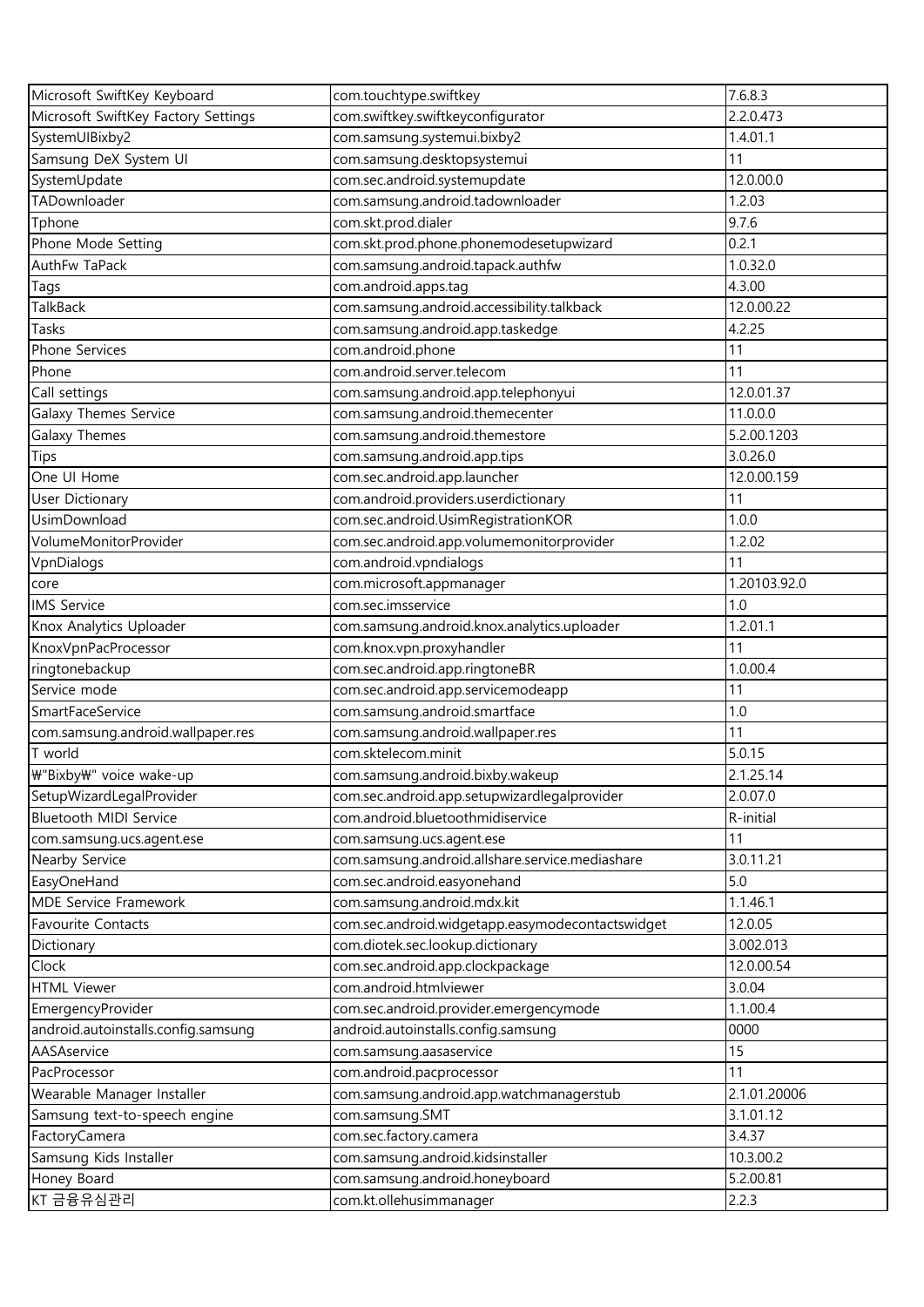| Microsoft SwiftKey Keyboard         | com.touchtype.swiftkey                                                               | 7.6.8.3      |
|-------------------------------------|--------------------------------------------------------------------------------------|--------------|
| Microsoft SwiftKey Factory Settings | com.swiftkey.swiftkeyconfigurator                                                    | 2.2.0.473    |
| SystemUIBixby2                      | com.samsung.systemui.bixby2                                                          | 1.4.01.1     |
| Samsung DeX System UI               | com.samsung.desktopsystemui                                                          | 11           |
| SystemUpdate                        | com.sec.android.systemupdate                                                         | 12.0.00.0    |
| TADownloader                        | com.samsung.android.tadownloader                                                     | 1.2.03       |
| Tphone                              | com.skt.prod.dialer                                                                  | 9.7.6        |
| Phone Mode Setting                  | com.skt.prod.phone.phonemodesetupwizard                                              | 0.2.1        |
| AuthFw TaPack                       | com.samsung.android.tapack.authfw                                                    | 1.0.32.0     |
| Tags                                | com.android.apps.tag                                                                 | 4.3.00       |
| TalkBack                            | com.samsung.android.accessibility.talkback                                           | 12.0.00.22   |
| Tasks                               | com.samsung.android.app.taskedge                                                     | 4.2.25       |
| Phone Services                      | com.android.phone                                                                    | 11           |
| Phone                               | com.android.server.telecom                                                           | 11           |
| Call settings                       | com.samsung.android.app.telephonyui                                                  | 12.0.01.37   |
| Galaxy Themes Service               | com.samsung.android.themecenter                                                      | 11.0.0.0     |
| Galaxy Themes                       | com.samsung.android.themestore                                                       | 5.2.00.1203  |
| <b>Tips</b>                         | com.samsung.android.app.tips                                                         | 3.0.26.0     |
| One UI Home                         | com.sec.android.app.launcher                                                         | 12.0.00.159  |
| <b>User Dictionary</b>              | com.android.providers.userdictionary                                                 | 11           |
| UsimDownload                        | com.sec.android.UsimRegistrationKOR                                                  | 1.0.0        |
| VolumeMonitorProvider               | com.sec.android.app.volumemonitorprovider                                            | 1.2.02       |
| VpnDialogs                          | com.android.vpndialogs                                                               | 11           |
| core                                | com.microsoft.appmanager                                                             | 1.20103.92.0 |
| <b>IMS</b> Service                  | com.sec.imsservice                                                                   | 1.0          |
| Knox Analytics Uploader             | com.samsung.android.knox.analytics.uploader                                          | 1.2.01.1     |
| KnoxVpnPacProcessor                 | com.knox.vpn.proxyhandler                                                            | 11           |
| ringtonebackup                      | com.sec.android.app.ringtoneBR                                                       | 1.0.00.4     |
| Service mode                        | com.sec.android.app.servicemodeapp                                                   | 11           |
| SmartFaceService                    | com.samsung.android.smartface                                                        | 1.0          |
| com.samsung.android.wallpaper.res   | com.samsung.android.wallpaper.res                                                    | 11           |
| $\overline{T}$ world                | com.sktelecom.minit                                                                  | 5.0.15       |
| ₩"Bixby\" voice wake-up             | com.samsung.android.bixby.wakeup                                                     | 2.1.25.14    |
| SetupWizardLegalProvider            | com.sec.android.app.setupwizardlegalprovider                                         | 2.0.07.0     |
| Bluetooth MIDI Service              | com.android.bluetoothmidiservice                                                     | R-initial    |
|                                     |                                                                                      | 11           |
| com.samsung.ucs.agent.ese           | com.samsung.ucs.agent.ese<br>com.samsung.android.allshare.service.mediashare         | 3.0.11.21    |
| Nearby Service<br>EasyOneHand       |                                                                                      | 5.0          |
| <b>MDE Service Framework</b>        | com.sec.android.easyonehand                                                          | 1.1.46.1     |
| Favourite Contacts                  | com.samsung.android.mdx.kit                                                          | 12.0.05      |
|                                     | com.sec.android.widgetapp.easymodecontactswidget<br>com.diotek.sec.lookup.dictionary |              |
| Dictionary                          |                                                                                      | 3.002.013    |
| Clock                               | com.sec.android.app.clockpackage                                                     | 12.0.00.54   |
| <b>HTML Viewer</b>                  | com.android.htmlviewer                                                               | 3.0.04       |
| EmergencyProvider                   | com.sec.android.provider.emergencymode                                               | 1.1.00.4     |
| android.autoinstalls.config.samsung | android.autoinstalls.config.samsung                                                  | 0000         |
| AASAservice                         | com.samsung.aasaservice                                                              | 15           |
| PacProcessor                        | com.android.pacprocessor                                                             | 11           |
| Wearable Manager Installer          | com.samsung.android.app.watchmanagerstub                                             | 2.1.01.20006 |
| Samsung text-to-speech engine       | com.samsung.SMT                                                                      | 3.1.01.12    |
| FactoryCamera                       | com.sec.factory.camera                                                               | 3.4.37       |
| Samsung Kids Installer              | com.samsung.android.kidsinstaller                                                    | 10.3.00.2    |
| Honey Board                         | com.samsung.android.honeyboard                                                       | 5.2.00.81    |
| KT 금융유심관리                           | com.kt.ollehusimmanager                                                              | 2.2.3        |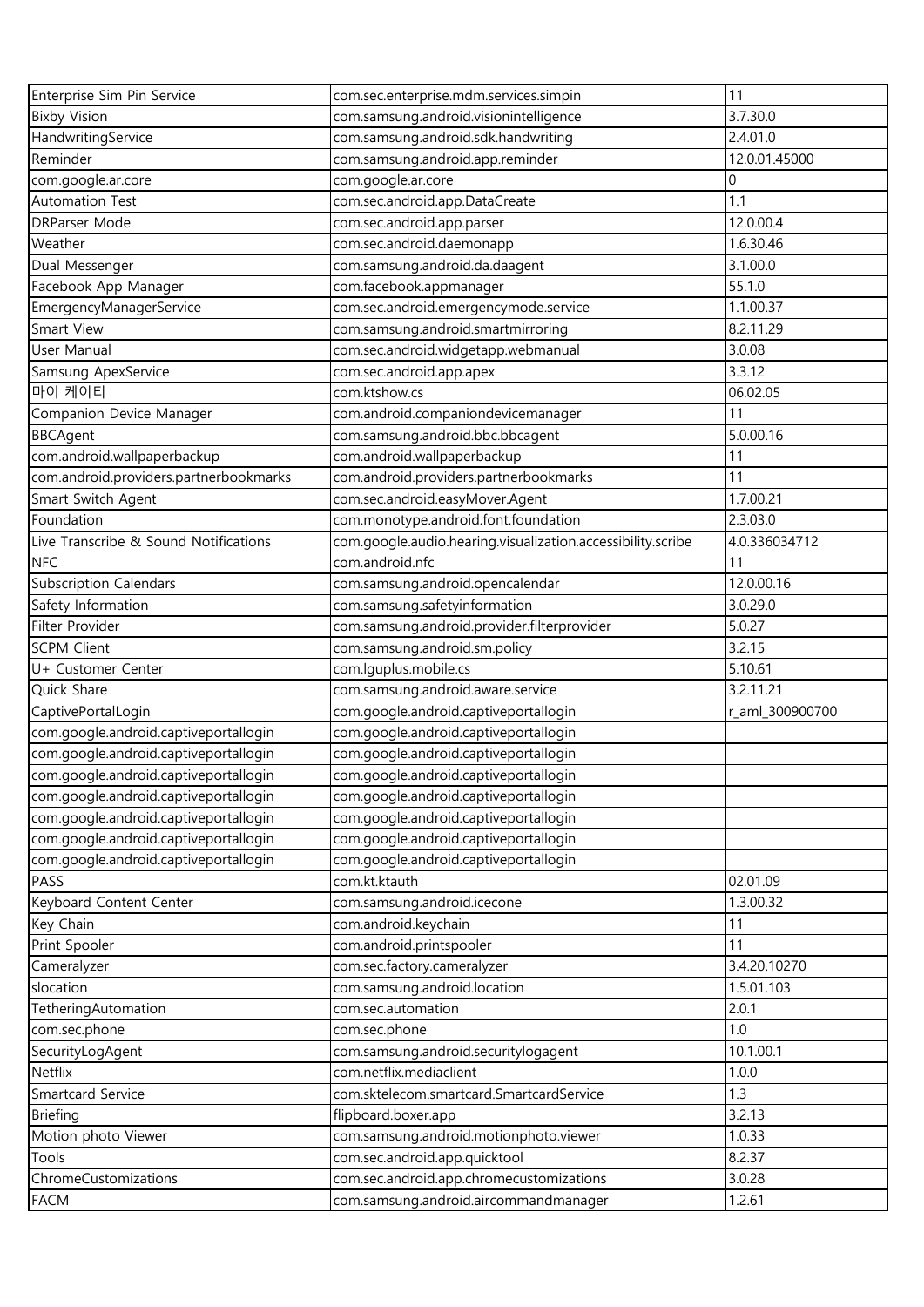| Enterprise Sim Pin Service                                                     | com.sec.enterprise.mdm.services.simpin                      | 11              |
|--------------------------------------------------------------------------------|-------------------------------------------------------------|-----------------|
| <b>Bixby Vision</b>                                                            | com.samsung.android.visionintelligence                      | 3.7.30.0        |
| HandwritingService                                                             | com.samsung.android.sdk.handwriting                         | 2.4.01.0        |
| Reminder                                                                       | com.samsung.android.app.reminder                            | 12.0.01.45000   |
| com.google.ar.core                                                             | com.google.ar.core                                          | 0               |
| <b>Automation Test</b>                                                         | com.sec.android.app.DataCreate                              | 1.1             |
| <b>DRParser Mode</b>                                                           | com.sec.android.app.parser                                  | 12.0.00.4       |
| Weather                                                                        | com.sec.android.daemonapp                                   | 1.6.30.46       |
| Dual Messenger                                                                 | com.samsung.android.da.daagent                              | 3.1.00.0        |
| Facebook App Manager                                                           | com.facebook.appmanager                                     | 55.1.0          |
| EmergencyManagerService                                                        | com.sec.android.emergencymode.service                       | 1.1.00.37       |
| Smart View                                                                     | com.samsung.android.smartmirroring                          | 8.2.11.29       |
| User Manual                                                                    | com.sec.android.widgetapp.webmanual                         | 3.0.08          |
| Samsung ApexService                                                            | com.sec.android.app.apex                                    | 3.3.12          |
| 마이 케이티                                                                         | com.ktshow.cs                                               | 06.02.05        |
| Companion Device Manager                                                       | com.android.companiondevicemanager                          | 11              |
| <b>BBCAgent</b>                                                                | com.samsung.android.bbc.bbcagent                            | 5.0.00.16       |
| com.android.wallpaperbackup                                                    | com.android.wallpaperbackup                                 | 11              |
| com.android.providers.partnerbookmarks                                         | com.android.providers.partnerbookmarks                      | 11              |
| Smart Switch Agent                                                             | com.sec.android.easyMover.Agent                             | 1.7.00.21       |
| Foundation                                                                     | com.monotype.android.font.foundation                        | 2.3.03.0        |
| Live Transcribe & Sound Notifications                                          | com.google.audio.hearing.visualization.accessibility.scribe | 4.0.336034712   |
| <b>NFC</b>                                                                     | com.android.nfc                                             | 11              |
| <b>Subscription Calendars</b>                                                  | com.samsung.android.opencalendar                            | 12.0.00.16      |
| Safety Information                                                             | com.samsung.safetyinformation                               | 3.0.29.0        |
| Filter Provider                                                                | com.samsung.android.provider.filterprovider                 | 5.0.27          |
| <b>SCPM Client</b>                                                             | com.samsung.android.sm.policy                               | 3.2.15          |
| U+ Customer Center                                                             | com.lguplus.mobile.cs                                       | 5.10.61         |
| Quick Share                                                                    | com.samsung.android.aware.service                           | 3.2.11.21       |
| CaptivePortalLogin                                                             | com.google.android.captiveportallogin                       | r_aml_300900700 |
| com.google.android.captiveportallogin                                          | com.google.android.captiveportallogin                       |                 |
| com.google.android.captiveportallogin                                          | com.google.android.captiveportallogin                       |                 |
| com.google.android.captiveportallogin                                          | com.google.android.captiveportallogin                       |                 |
| com.google.android.captiveportallogin                                          | com.google.android.captiveportallogin                       |                 |
| com.google.android.captiveportallogin                                          | com.google.android.captiveportallogin                       |                 |
|                                                                                | com.google.android.captiveportallogin                       |                 |
| com.google.android.captiveportallogin<br>com.google.android.captiveportallogin | com.google.android.captiveportallogin                       |                 |
| PASS                                                                           | com.kt.ktauth                                               | 02.01.09        |
|                                                                                |                                                             | 1.3.00.32       |
| Keyboard Content Center<br>Key Chain                                           | com.samsung.android.icecone                                 |                 |
| Print Spooler                                                                  | com.android.keychain<br>com.android.printspooler            | 11<br>11        |
|                                                                                | com.sec.factory.cameralyzer                                 | 3.4.20.10270    |
| Cameralyzer                                                                    |                                                             |                 |
| slocation                                                                      | com.samsung.android.location                                | 1.5.01.103      |
| TetheringAutomation                                                            | com.sec.automation                                          | 2.0.1           |
| com.sec.phone                                                                  | com.sec.phone                                               | 1.0             |
| SecurityLogAgent                                                               | com.samsung.android.securitylogagent                        | 10.1.00.1       |
| Netflix                                                                        | com.netflix.mediaclient                                     | 1.0.0           |
| Smartcard Service                                                              | com.sktelecom.smartcard.SmartcardService                    | 1.3             |
| <b>Briefing</b>                                                                | flipboard.boxer.app                                         | 3.2.13          |
| Motion photo Viewer                                                            | com.samsung.android.motionphoto.viewer                      | 1.0.33          |
| Tools                                                                          | com.sec.android.app.quicktool                               | 8.2.37          |
| ChromeCustomizations                                                           | com.sec.android.app.chromecustomizations                    | 3.0.28          |
| <b>FACM</b>                                                                    | com.samsung.android.aircommandmanager                       | 1.2.61          |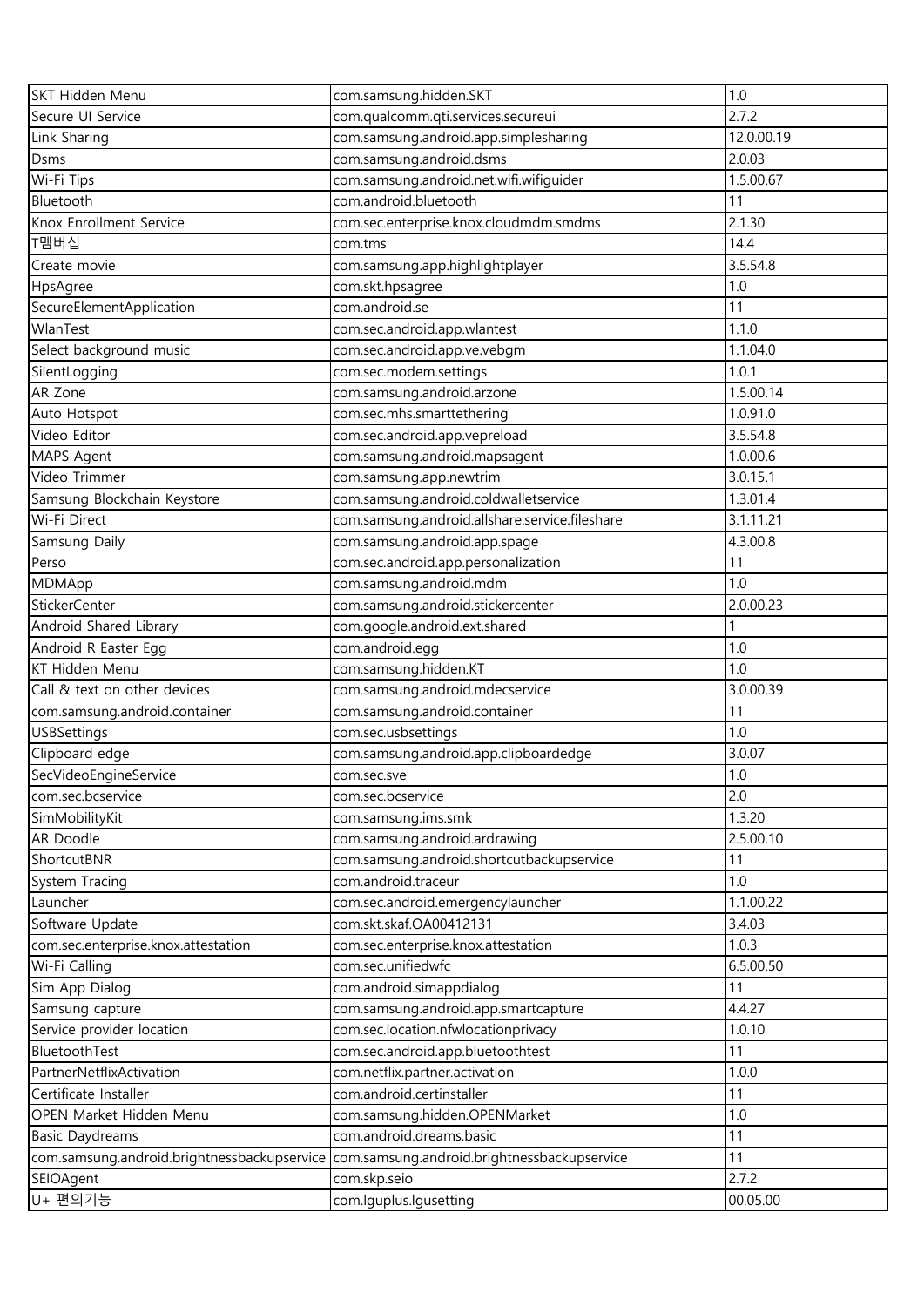| SKT Hidden Menu                             | com.samsung.hidden.SKT                         | 1.0        |
|---------------------------------------------|------------------------------------------------|------------|
| Secure UI Service                           | com.qualcomm.qti.services.secureui             | 2.7.2      |
| Link Sharing                                | com.samsung.android.app.simplesharing          | 12.0.00.19 |
| Dsms                                        | com.samsung.android.dsms                       | 2.0.03     |
| Wi-Fi Tips                                  | com.samsung.android.net.wifi.wifiguider        | 1.5.00.67  |
| Bluetooth                                   | com.android.bluetooth                          | 11         |
| Knox Enrollment Service                     | com.sec.enterprise.knox.cloudmdm.smdms         | 2.1.30     |
| T멤버십                                        | com.tms                                        | 14.4       |
| Create movie                                | com.samsung.app.highlightplayer                | 3.5.54.8   |
| HpsAgree                                    | com.skt.hpsagree                               | 1.0        |
| SecureElementApplication                    | com.android.se                                 | 11         |
| WlanTest                                    | com.sec.android.app.wlantest                   | 1.1.0      |
| Select background music                     | com.sec.android.app.ve.vebgm                   | 1.1.04.0   |
| SilentLogging                               | com.sec.modem.settings                         | 1.0.1      |
| AR Zone                                     | com.samsung.android.arzone                     | 1.5.00.14  |
| Auto Hotspot                                | com.sec.mhs.smarttethering                     | 1.0.91.0   |
| Video Editor                                | com.sec.android.app.vepreload                  | 3.5.54.8   |
| MAPS Agent                                  | com.samsung.android.mapsagent                  | 1.0.00.6   |
| Video Trimmer                               | com.samsung.app.newtrim                        | 3.0.15.1   |
| Samsung Blockchain Keystore                 | com.samsung.android.coldwalletservice          | 1.3.01.4   |
| Wi-Fi Direct                                | com.samsung.android.allshare.service.fileshare | 3.1.11.21  |
| Samsung Daily                               | com.samsung.android.app.spage                  | 4.3.00.8   |
| Perso                                       | com.sec.android.app.personalization            | 11         |
| MDMApp                                      | com.samsung.android.mdm                        | 1.0        |
| StickerCenter                               | com.samsung.android.stickercenter              | 2.0.00.23  |
| Android Shared Library                      | com.google.android.ext.shared                  |            |
| Android R Easter Egg                        | com.android.egg                                | 1.0        |
| KT Hidden Menu                              | com.samsung.hidden.KT                          | 1.0        |
| Call & text on other devices                | com.samsung.android.mdecservice                | 3.0.00.39  |
| com.samsung.android.container               | com.samsung.android.container                  | 11         |
| <b>USBSettings</b>                          | com.sec.usbsettings                            | 1.0        |
| Clipboard edge                              | com.samsung.android.app.clipboardedge          | 3.0.07     |
| SecVideoEngineService                       | com.sec.sve                                    | 1.0        |
| com.sec.bcservice                           | com.sec.bcservice                              | 2.0        |
| SimMobilityKit                              | com.samsung.ims.smk                            | 1.3.20     |
| AR Doodle                                   | com.samsung.android.ardrawing                  | 2.5.00.10  |
| ShortcutBNR                                 | com.samsung.android.shortcutbackupservice      | 11         |
| System Tracing                              | com.android.traceur                            | 1.0        |
| Launcher                                    | com.sec.android.emergencylauncher              | 1.1.00.22  |
| Software Update                             | com.skt.skaf.OA00412131                        | 3.4.03     |
| com.sec.enterprise.knox.attestation         | com.sec.enterprise.knox.attestation            | 1.0.3      |
| Wi-Fi Calling                               | com.sec.unifiedwfc                             | 6.5.00.50  |
| Sim App Dialog                              | com.android.simappdialog                       | 11         |
| Samsung capture                             | com.samsung.android.app.smartcapture           | 4.4.27     |
| Service provider location                   | com.sec.location.nfwlocationprivacy            | 1.0.10     |
| BluetoothTest                               | com.sec.android.app.bluetoothtest              | 11         |
| PartnerNetflixActivation                    | com.netflix.partner.activation                 | 1.0.0      |
| Certificate Installer                       | com.android.certinstaller                      | 11         |
| OPEN Market Hidden Menu                     | com.samsung.hidden.OPENMarket                  | 1.0        |
| <b>Basic Daydreams</b>                      | com.android.dreams.basic                       | 11         |
| com.samsung.android.brightnessbackupservice | com.samsung.android.brightnessbackupservice    | 11         |
| SEIOAgent                                   | com.skp.seio                                   | 2.7.2      |
| U+ 편의기능                                     | com.lguplus.lgusetting                         | 00.05.00   |
|                                             |                                                |            |